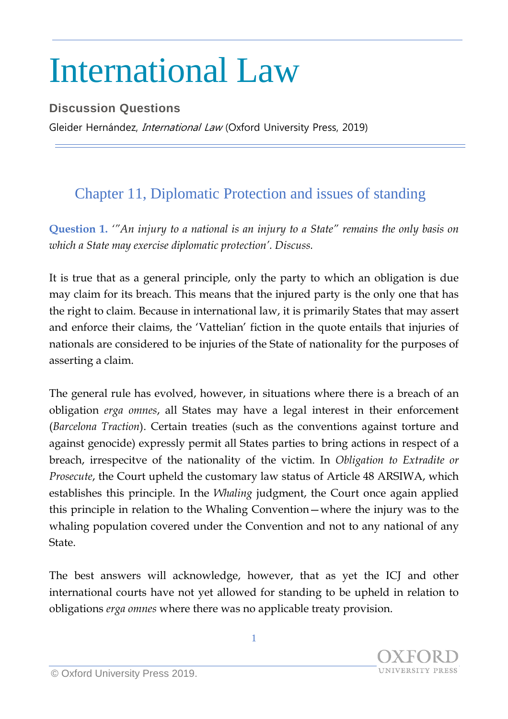## International Law

**Discussion Questions** Gleider Hernández, *International Law* (Oxford University Press, 2019)

## Chapter 11, Diplomatic Protection and issues of standing

**Question 1.** *'"An injury to a national is an injury to a State" remains the only basis on which a State may exercise diplomatic protection'. Discuss.*

It is true that as a general principle, only the party to which an obligation is due may claim for its breach. This means that the injured party is the only one that has the right to claim. Because in international law, it is primarily States that may assert and enforce their claims, the 'Vattelian' fiction in the quote entails that injuries of nationals are considered to be injuries of the State of nationality for the purposes of asserting a claim.

The general rule has evolved, however, in situations where there is a breach of an obligation *erga omnes*, all States may have a legal interest in their enforcement (*Barcelona Traction*). Certain treaties (such as the conventions against torture and against genocide) expressly permit all States parties to bring actions in respect of a breach, irrespecitve of the nationality of the victim. In *Obligation to Extradite or Prosecute*, the Court upheld the customary law status of Article 48 ARSIWA, which establishes this principle. In the *Whaling* judgment, the Court once again applied this principle in relation to the Whaling Convention—where the injury was to the whaling population covered under the Convention and not to any national of any State.

The best answers will acknowledge, however, that as yet the ICJ and other international courts have not yet allowed for standing to be upheld in relation to obligations *erga omnes* where there was no applicable treaty provision.

1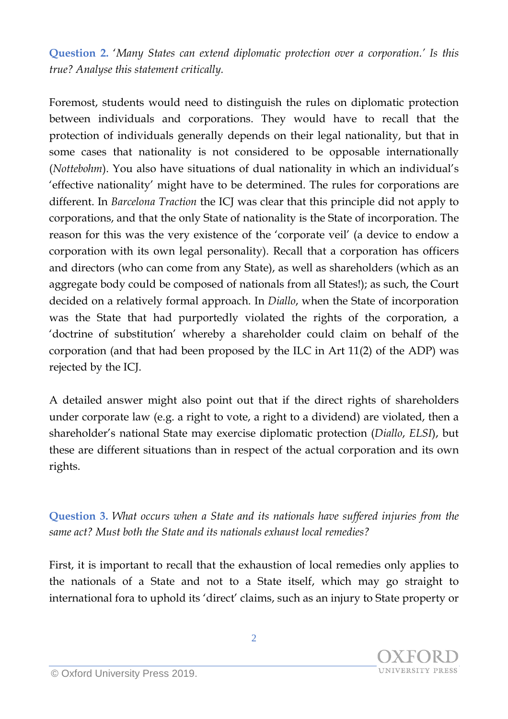**Question 2.** '*Many States can extend diplomatic protection over a corporation.' Is this true? Analyse this statement critically.*

Foremost, students would need to distinguish the rules on diplomatic protection between individuals and corporations. They would have to recall that the protection of individuals generally depends on their legal nationality, but that in some cases that nationality is not considered to be opposable internationally (*Nottebohm*). You also have situations of dual nationality in which an individual's 'effective nationality' might have to be determined. The rules for corporations are different. In *Barcelona Traction* the ICJ was clear that this principle did not apply to corporations, and that the only State of nationality is the State of incorporation. The reason for this was the very existence of the 'corporate veil' (a device to endow a corporation with its own legal personality). Recall that a corporation has officers and directors (who can come from any State), as well as shareholders (which as an aggregate body could be composed of nationals from all States!); as such, the Court decided on a relatively formal approach. In *Diallo*, when the State of incorporation was the State that had purportedly violated the rights of the corporation, a 'doctrine of substitution' whereby a shareholder could claim on behalf of the corporation (and that had been proposed by the ILC in Art 11(2) of the ADP) was rejected by the ICJ.

A detailed answer might also point out that if the direct rights of shareholders under corporate law (e.g. a right to vote, a right to a dividend) are violated, then a shareholder's national State may exercise diplomatic protection (*Diallo*, *ELSI*), but these are different situations than in respect of the actual corporation and its own rights.

**Question 3.** *What occurs when a State and its nationals have suffered injuries from the same act? Must both the State and its nationals exhaust local remedies?*

First, it is important to recall that the exhaustion of local remedies only applies to the nationals of a State and not to a State itself, which may go straight to international fora to uphold its 'direct' claims, such as an injury to State property or